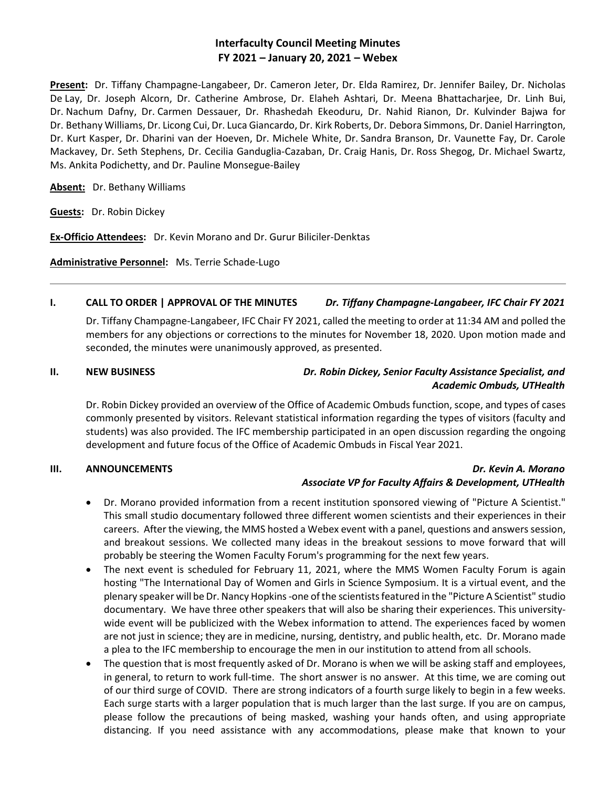# **Interfaculty Council Meeting Minutes FY 2021 – January 20, 2021 – Webex**

**Present:** Dr. Tiffany Champagne-Langabeer, Dr. Cameron Jeter, Dr. Elda Ramirez, Dr. Jennifer Bailey, Dr. Nicholas De Lay, Dr. Joseph Alcorn, Dr. Catherine Ambrose, Dr. Elaheh Ashtari, Dr. Meena Bhattacharjee, Dr. Linh Bui, Dr. Nachum Dafny, Dr. Carmen Dessauer, Dr. Rhashedah Ekeoduru, Dr. Nahid Rianon, Dr. Kulvinder Bajwa for Dr. Bethany Williams, Dr. Licong Cui, Dr. Luca Giancardo, Dr. Kirk Roberts, Dr. Debora Simmons, Dr. Daniel Harrington, Dr. Kurt Kasper, Dr. Dharini van der Hoeven, Dr. Michele White, Dr. Sandra Branson, Dr. Vaunette Fay, Dr. Carole Mackavey, Dr. Seth Stephens, Dr. Cecilia Ganduglia-Cazaban, Dr. Craig Hanis, Dr. Ross Shegog, Dr. Michael Swartz, Ms. Ankita Podichetty, and Dr. Pauline Monsegue-Bailey

**Absent:** Dr. Bethany Williams

**Guests:** Dr. Robin Dickey

**Ex-Officio Attendees:** Dr. Kevin Morano and Dr. Gurur Biliciler-Denktas

**Administrative Personnel:** Ms. Terrie Schade-Lugo

# **I. CALL TO ORDER | APPROVAL OF THE MINUTES** *Dr. Tiffany Champagne-Langabeer, IFC Chair FY 2021*

Dr. Tiffany Champagne-Langabeer, IFC Chair FY 2021, called the meeting to order at 11:34 AM and polled the members for any objections or corrections to the minutes for November 18, 2020. Upon motion made and seconded, the minutes were unanimously approved, as presented.

# **II. NEW BUSINESS** *Dr. Robin Dickey, Senior Faculty Assistance Specialist, and Academic Ombuds, UTHealth*

Dr. Robin Dickey provided an overview of the Office of Academic Ombuds function, scope, and types of cases commonly presented by visitors. Relevant statistical information regarding the types of visitors (faculty and students) was also provided. The IFC membership participated in an open discussion regarding the ongoing development and future focus of the Office of Academic Ombuds in Fiscal Year 2021.

### **III. ANNOUNCEMENTS** *Dr. Kevin A. Morano Associate VP for Faculty Affairs & Development, UTHealth*

- Dr. Morano provided information from a recent institution sponsored viewing of "Picture A Scientist." This small studio documentary followed three different women scientists and their experiences in their careers. After the viewing, the MMS hosted a Webex event with a panel, questions and answers session, and breakout sessions. We collected many ideas in the breakout sessions to move forward that will probably be steering the Women Faculty Forum's programming for the next few years.
- The next event is scheduled for February 11, 2021, where the MMS Women Faculty Forum is again hosting "The International Day of Women and Girls in Science Symposium. It is a virtual event, and the plenary speaker will be Dr. Nancy Hopkins -one of the scientists featured in the "Picture A Scientist" studio documentary. We have three other speakers that will also be sharing their experiences. This universitywide event will be publicized with the Webex information to attend. The experiences faced by women are not just in science; they are in medicine, nursing, dentistry, and public health, etc. Dr. Morano made a plea to the IFC membership to encourage the men in our institution to attend from all schools.
- The question that is most frequently asked of Dr. Morano is when we will be asking staff and employees, in general, to return to work full-time. The short answer is no answer. At this time, we are coming out of our third surge of COVID. There are strong indicators of a fourth surge likely to begin in a few weeks. Each surge starts with a larger population that is much larger than the last surge. If you are on campus, please follow the precautions of being masked, washing your hands often, and using appropriate distancing. If you need assistance with any accommodations, please make that known to your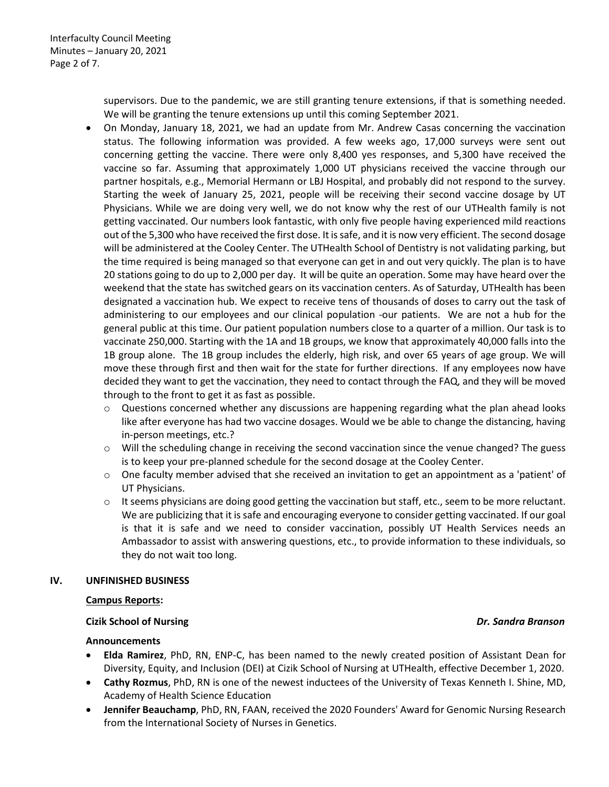supervisors. Due to the pandemic, we are still granting tenure extensions, if that is something needed. We will be granting the tenure extensions up until this coming September 2021.

- On Monday, January 18, 2021, we had an update from Mr. Andrew Casas concerning the vaccination status. The following information was provided. A few weeks ago, 17,000 surveys were sent out concerning getting the vaccine. There were only 8,400 yes responses, and 5,300 have received the vaccine so far. Assuming that approximately 1,000 UT physicians received the vaccine through our partner hospitals, e.g., Memorial Hermann or LBJ Hospital, and probably did not respond to the survey. Starting the week of January 25, 2021, people will be receiving their second vaccine dosage by UT Physicians. While we are doing very well, we do not know why the rest of our UTHealth family is not getting vaccinated. Our numbers look fantastic, with only five people having experienced mild reactions out of the 5,300 who have received the first dose. It is safe, and it is now very efficient. The second dosage will be administered at the Cooley Center. The UTHealth School of Dentistry is not validating parking, but the time required is being managed so that everyone can get in and out very quickly. The plan is to have 20 stations going to do up to 2,000 per day. It will be quite an operation. Some may have heard over the weekend that the state has switched gears on its vaccination centers. As of Saturday, UTHealth has been designated a vaccination hub. We expect to receive tens of thousands of doses to carry out the task of administering to our employees and our clinical population -our patients. We are not a hub for the general public at this time. Our patient population numbers close to a quarter of a million. Our task is to vaccinate 250,000. Starting with the 1A and 1B groups, we know that approximately 40,000 falls into the 1B group alone. The 1B group includes the elderly, high risk, and over 65 years of age group. We will move these through first and then wait for the state for further directions. If any employees now have decided they want to get the vaccination, they need to contact through the FAQ, and they will be moved through to the front to get it as fast as possible.
	- $\circ$  Questions concerned whether any discussions are happening regarding what the plan ahead looks like after everyone has had two vaccine dosages. Would we be able to change the distancing, having in-person meetings, etc.?
	- $\circ$  Will the scheduling change in receiving the second vaccination since the venue changed? The guess is to keep your pre-planned schedule for the second dosage at the Cooley Center.
	- $\circ$  One faculty member advised that she received an invitation to get an appointment as a 'patient' of UT Physicians.
	- $\circ$  It seems physicians are doing good getting the vaccination but staff, etc., seem to be more reluctant. We are publicizing that it is safe and encouraging everyone to consider getting vaccinated. If our goal is that it is safe and we need to consider vaccination, possibly UT Health Services needs an Ambassador to assist with answering questions, etc., to provide information to these individuals, so they do not wait too long.

### **IV. UNFINISHED BUSINESS**

### **Campus Reports:**

### **Cizik School of Nursing** *Dr. Sandra Branson*

#### **Announcements**

- **Elda Ramirez**, PhD, RN, ENP-C, has been named to the newly created position of Assistant Dean for Diversity, Equity, and Inclusion (DEI) at Cizik School of Nursing at UTHealth, effective December 1, 2020.
- **Cathy Rozmus**, PhD, RN is one of the newest inductees of the University of Texas Kenneth I. Shine, MD, Academy of Health Science Education
- **Jennifer Beauchamp**, PhD, RN, FAAN, received the 2020 Founders' Award for Genomic Nursing Research from the International Society of Nurses in Genetics.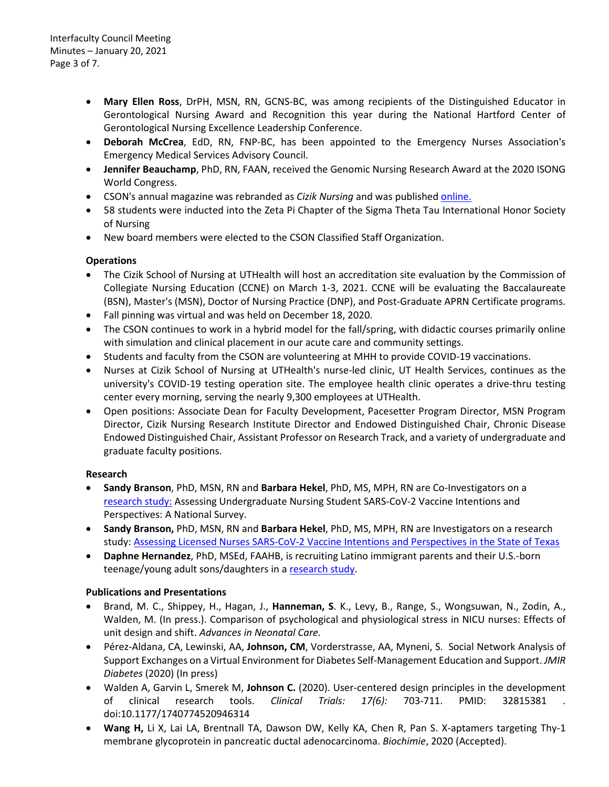- **Mary Ellen Ross**, DrPH, MSN, RN, GCNS-BC, was among recipients of the Distinguished Educator in Gerontological Nursing Award and Recognition this year during the National Hartford Center of Gerontological Nursing Excellence Leadership Conference.
- **Deborah McCrea**, EdD, RN, FNP-BC, has been appointed to the Emergency Nurses Association's Emergency Medical Services Advisory Council.
- **Jennifer Beauchamp**, PhD, RN, FAAN, received the Genomic Nursing Research Award at the 2020 ISONG World Congress.
- CSON's annual magazine was rebranded as *Cizik Nursing* and was publishe[d online.](https://nursing.uth.edu/news/detail.htm?id=d53f895d-404d-4a2c-b69d-9ed65c365387)
- 58 students were inducted into the Zeta Pi Chapter of the Sigma Theta Tau International Honor Society of Nursing
- New board members were elected to the CSON Classified Staff Organization.

# **Operations**

- The Cizik School of Nursing at UTHealth will host an accreditation site evaluation by the Commission of Collegiate Nursing Education (CCNE) on March 1-3, 2021. CCNE will be evaluating the Baccalaureate (BSN), Master's (MSN), Doctor of Nursing Practice (DNP), and Post-Graduate APRN Certificate programs.
- Fall pinning was virtual and was held on December 18, 2020.
- The CSON continues to work in a hybrid model for the fall/spring, with didactic courses primarily online with simulation and clinical placement in our acute care and community settings.
- Students and faculty from the CSON are volunteering at MHH to provide COVID-19 vaccinations.
- Nurses at Cizik School of Nursing at UTHealth's nurse-led clinic, UT Health Services, continues as the university's COVID-19 testing operation site. The employee health clinic operates a drive-thru testing center every morning, serving the nearly 9,300 employees at UTHealth.
- Open positions: Associate Dean for Faculty Development, Pacesetter Program Director, MSN Program Director, Cizik Nursing Research Institute Director and Endowed Distinguished Chair, Chronic Disease Endowed Distinguished Chair, Assistant Professor on Research Track, and a variety of undergraduate and graduate faculty positions.

# **Research**

- **Sandy Branson**, PhD, MSN, RN and **Barbara Hekel**, PhD, MS, MPH, RN are Co-Investigators on a [research study:](https://redcap.jabsom.hawaii.edu/redcap/surveys/?s=ACWFTL44WA) Assessing Undergraduate Nursing Student SARS-CoV-2 Vaccine Intentions and Perspectives: A National Survey.
- **Sandy Branson,** PhD, MSN, RN and **Barbara Hekel**, PhD, MS, MPH, RN are Investigators on a research study: Assessing Licensed Nurses SARS-CoV-2 Vaccine Intentions and Perspectives in the State of Texas
- **Daphne Hernandez**, PhD, MSEd, FAAHB, is recruiting Latino immigrant parents and their U.S.-born teenage/young adult sons/daughters in a [research study.](https://nursing.uth.edu/research/documents/CDS_Youth_English.pdf)

# **Publications and Presentations**

- Brand, M. C., Shippey, H., Hagan, J., **Hanneman, S**. K., Levy, B., Range, S., Wongsuwan, N., Zodin, A., Walden, M. (In press.). Comparison of psychological and physiological stress in NICU nurses: Effects of unit design and shift. *Advances in Neonatal Care.*
- Pérez-Aldana, CA, Lewinski, AA, **Johnson, CM**, Vorderstrasse, AA, Myneni, S. Social Network Analysis of Support Exchanges on a Virtual Environment for Diabetes Self-Management Education and Support. *JMIR Diabetes* (2020) (In press)
- Walden A, Garvin L, Smerek M, **Johnson C.** (2020). User-centered design principles in the development of clinical research tools. *Clinical Trials: 17(6):* 703-711. PMID: 32815381 . doi:10.1177/1740774520946314
- **Wang H,** Li X, Lai LA, Brentnall TA, Dawson DW, Kelly KA, Chen R, Pan S. X-aptamers targeting Thy-1 membrane glycoprotein in pancreatic ductal adenocarcinoma. *Biochimie*, 2020 (Accepted).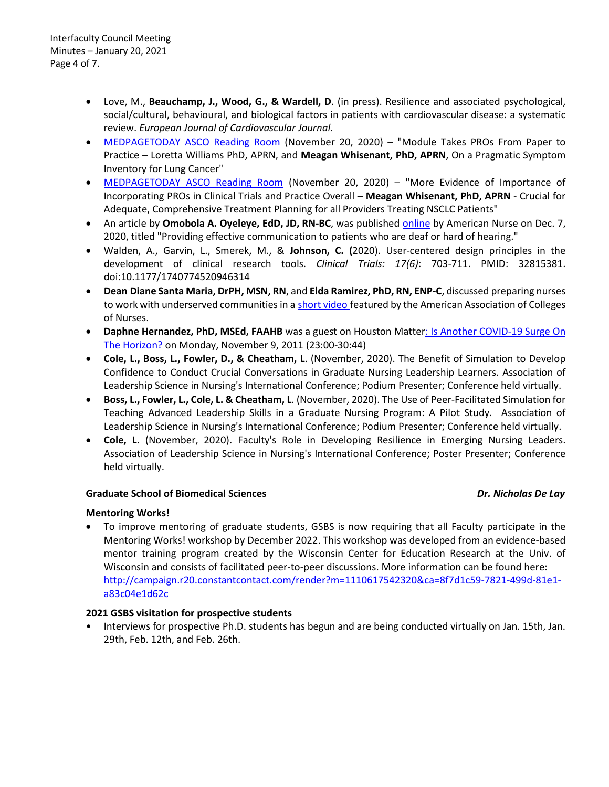- Love, M., **Beauchamp, J., Wood, G., & Wardell, D**. (in press). Resilience and associated psychological, social/cultural, behavioural, and biological factors in patients with cardiovascular disease: a systematic review. *European Journal of Cardiovascular Journal*.
- [MEDPAGETODAY ASCO Reading Room](https://www.medpagetoday.com/reading-room/asco/lung-cancer/89806?vpass=1) (November 20, 2020) "Module Takes PROs From Paper to Practice – Loretta Williams PhD, APRN, and **Meagan Whisenant, PhD, APRN**, On a Pragmatic Symptom Inventory for Lung Cancer"
- MEDPAGETODAY ASCO Reading Room (November 20, 2020) "More Evidence of Importance of Incorporating PROs in Clinical Trials and Practice Overall – **Meagan Whisenant, PhD, APRN** - Crucial for Adequate, Comprehensive Treatment Planning for all Providers Treating NSCLC Patients"
- An article by **Omobola A. Oyeleye, EdD, JD, RN-BC**, was published [online](https://www.myamericannurse.com/providing-effective-communication-to-patients-who-are-deaf-or-hard-of-hearing/) by American Nurse on Dec. 7, 2020, titled "Providing effective communication to patients who are deaf or hard of hearing."
- Walden, A., Garvin, L., Smerek, M., & **Johnson, C. (**2020). User-centered design principles in the development of clinical research tools. *Clinical Trials: 17(6)*: 703-711. PMID: 32815381. doi:10.1177/1740774520946314
- **Dean Diane Santa Maria, DrPH, MSN, RN**, and **Elda Ramirez, PhD, RN, ENP-C**, discussed preparing nurses to work with underserved communities in a [short video](https://www.youtube.com/watch?v=VAYMemAKZzY) featured by the American Association of Colleges of Nurses.
- Daphne Hernandez, PhD, MSEd, FAAHB was a guest on Houston Matter: Is Another COVID-19 Surge On [The Horizon?](https://www.houstonpublicmedia.org/articles/shows/houston-matters/2020/11/09/385751/is-another-covid-19-surge-on-the-horizon-nov-9-2020/) on Monday, November 9, 2011 (23:00-30:44)
- **Cole, L., Boss, L., Fowler, D., & Cheatham, L**. (November, 2020). The Benefit of Simulation to Develop Confidence to Conduct Crucial Conversations in Graduate Nursing Leadership Learners. Association of Leadership Science in Nursing's International Conference; Podium Presenter; Conference held virtually.
- **Boss, L., Fowler, L., Cole, L. & Cheatham, L**. (November, 2020). The Use of Peer-Facilitated Simulation for Teaching Advanced Leadership Skills in a Graduate Nursing Program: A Pilot Study. Association of Leadership Science in Nursing's International Conference; Podium Presenter; Conference held virtually.
- **Cole, L**. (November, 2020). Faculty's Role in Developing Resilience in Emerging Nursing Leaders. Association of Leadership Science in Nursing's International Conference; Poster Presenter; Conference held virtually.

# **Graduate School of Biomedical Sciences** *Dr. Nicholas De Lay*

# **Mentoring Works!**

• To improve mentoring of graduate students, GSBS is now requiring that all Faculty participate in the Mentoring Works! workshop by December 2022. This workshop was developed from an evidence-based mentor training program created by the Wisconsin Center for Education Research at the Univ. of Wisconsin and consists of facilitated peer-to-peer discussions. More information can be found here: http://campaign.r20.constantcontact.com/render?m=1110617542320&ca=8f7d1c59-7821-499d-81e1 a83c04e1d62c

# **2021 GSBS visitation for prospective students**

• Interviews for prospective Ph.D. students has begun and are being conducted virtually on Jan. 15th, Jan. 29th, Feb. 12th, and Feb. 26th.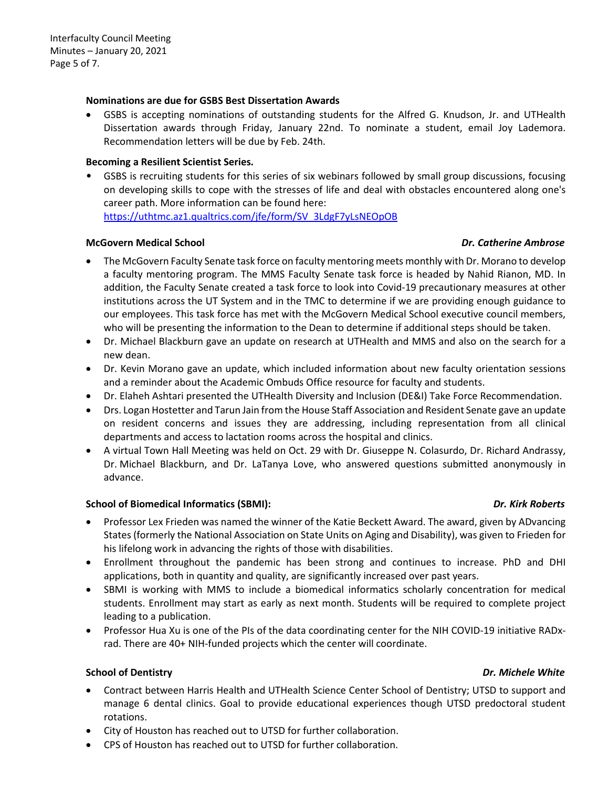### **Nominations are due for GSBS Best Dissertation Awards**

• GSBS is accepting nominations of outstanding students for the Alfred G. Knudson, Jr. and UTHealth Dissertation awards through Friday, January 22nd. To nominate a student, email Joy Lademora. Recommendation letters will be due by Feb. 24th.

### **Becoming a Resilient Scientist Series.**

• GSBS is recruiting students for this series of six webinars followed by small group discussions, focusing on developing skills to cope with the stresses of life and deal with obstacles encountered along one's career path. More information can be found here: [https://uthtmc.az1.qualtrics.com/jfe/form/SV\\_3LdgF7yLsNEOpOB](https://uthtmc.az1.qualtrics.com/jfe/form/SV_3LdgF7yLsNEOpOB)

### **McGovern Medical School** *Dr. Catherine Ambrose*

- The McGovern Faculty Senate task force on faculty mentoring meets monthly with Dr. Morano to develop a faculty mentoring program. The MMS Faculty Senate task force is headed by Nahid Rianon, MD. In addition, the Faculty Senate created a task force to look into Covid-19 precautionary measures at other institutions across the UT System and in the TMC to determine if we are providing enough guidance to our employees. This task force has met with the McGovern Medical School executive council members, who will be presenting the information to the Dean to determine if additional steps should be taken.
- Dr. Michael Blackburn gave an update on research at UTHealth and MMS and also on the search for a new dean.
- Dr. Kevin Morano gave an update, which included information about new faculty orientation sessions and a reminder about the Academic Ombuds Office resource for faculty and students.
- Dr. Elaheh Ashtari presented the UTHealth Diversity and Inclusion (DE&I) Take Force Recommendation.
- Drs. Logan Hostetter and Tarun Jain from the House Staff Association and Resident Senate gave an update on resident concerns and issues they are addressing, including representation from all clinical departments and access to lactation rooms across the hospital and clinics.
- A virtual Town Hall Meeting was held on Oct. 29 with Dr. Giuseppe N. Colasurdo, Dr. Richard Andrassy, Dr. Michael Blackburn, and Dr. LaTanya Love, who answered questions submitted anonymously in advance.

### **School of Biomedical Informatics (SBMI):** *Dr. Kirk Roberts*

- Professor Lex Frieden was named the winner of the Katie Beckett Award. The award, given by ADvancing States (formerly the National Association on State Units on Aging and Disability), was given to Frieden for his lifelong work in advancing the rights of those with disabilities.
- Enrollment throughout the pandemic has been strong and continues to increase. PhD and DHI applications, both in quantity and quality, are significantly increased over past years.
- SBMI is working with MMS to include a biomedical informatics scholarly concentration for medical students. Enrollment may start as early as next month. Students will be required to complete project leading to a publication.
- Professor Hua Xu is one of the PIs of the data coordinating center for the NIH COVID-19 initiative RADxrad. There are 40+ NIH-funded projects which the center will coordinate.

# **School of Dentistry** *Dr. Michele White*

- Contract between Harris Health and UTHealth Science Center School of Dentistry; UTSD to support and manage 6 dental clinics. Goal to provide educational experiences though UTSD predoctoral student rotations.
- City of Houston has reached out to UTSD for further collaboration.
- CPS of Houston has reached out to UTSD for further collaboration.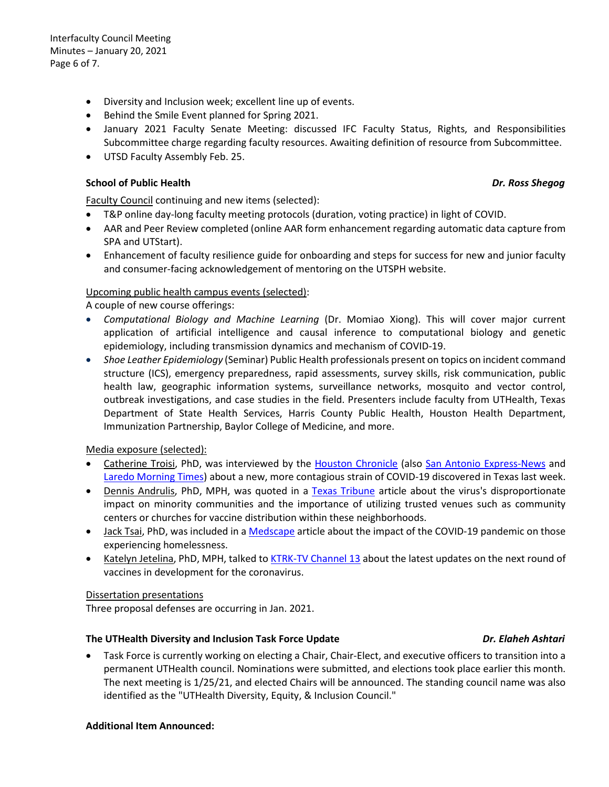Interfaculty Council Meeting Minutes – January 20, 2021 Page 6 of 7.

- Diversity and Inclusion week; excellent line up of events.
- Behind the Smile Event planned for Spring 2021.
- January 2021 Faculty Senate Meeting: discussed IFC Faculty Status, Rights, and Responsibilities Subcommittee charge regarding faculty resources. Awaiting definition of resource from Subcommittee.
- UTSD Faculty Assembly Feb. 25.

### **School of Public Health** *Dr. Ross Shegog*

Faculty Council continuing and new items (selected):

- T&P online day-long faculty meeting protocols (duration, voting practice) in light of COVID.
- AAR and Peer Review completed (online AAR form enhancement regarding automatic data capture from SPA and UTStart).
- Enhancement of faculty resilience guide for onboarding and steps for success for new and junior faculty and consumer-facing acknowledgement of mentoring on the UTSPH website.

# Upcoming public health campus events (selected):

A couple of new course offerings:

- *Computational Biology and Machine Learning* (Dr. Momiao Xiong). This will cover major current application of artificial intelligence and causal inference to computational biology and genetic epidemiology, including transmission dynamics and mechanism of COVID-19.
- *Shoe Leather Epidemiology* (Seminar) Public Health professionals present on topics on incident command structure (ICS), emergency preparedness, rapid assessments, survey skills, risk communication, public health law, geographic information systems, surveillance networks, mosquito and vector control, outbreak investigations, and case studies in the field. Presenters include faculty from UTHealth, Texas Department of State Health Services, Harris County Public Health, Houston Health Department, Immunization Partnership, Baylor College of Medicine, and more.

Media exposure (selected):

- Catherine Troisi, PhD, was interviewed by the [Houston Chronicle](https://urldefense.proofpoint.com/v2/url?u=http-3A__r20.rs6.net_tn.jsp-3Ff-3D0015qFrToNggy-2Dm7OD-2Dc1uSWwXmPqsgYHFeZ3kLl64lZGsa0c-2DAwMFT3FndldGRzvARBpX0-5FkyPSPVpFaivOE218CDHhMCU-2DIZ4GO0RNiKpxCgqrRJM-2D11D-2DNPhntQ4pWjBAsFBtitKUWzhE-5FmRGRNBDXB-5FC-5FRQwkqZMHMAWADGU3tytcnxfqa797yZpLuhBLiDw3EPq3M93QgVONa1uKIisVOqppjaV3QPhC2NRnQXXk48mx5d60gMSoTdxaC7OwKSnRlRaRj5sZFLHPF-2DirsGUoaCgTL-2DgwP0X73H40sLVLoXcw2KNOyPPtkmcmACL50abdAcF-5FXXRPuwhJGLA-5FBw3eP-2DgPU9meSjj9dcu56eqj9srxj6tOuayffJsFeybl57StVoK1Hvf3qmfoyEuyh7O5h-2Daa-5FD2-5FLgjiUO1A32rGoebzUKA0GTCfqK8ns1tYtXlpFhuCZ2O7bOjyLBpMyhpNO6WAEUcpibQBBa20E-5Fg-5F2Dr79l9Xm3EYdjNun-2Dcs5kuwl-5Fw5RNpnTgOWx8ZDC14xzfQWJpMm8UYFYokHKDPgrPJDayujHfRLRhhPNdrhUumfKL-2DY6rIF-5Ffr8wGeb83GJVIwk2sNmzWMHDKTI6Jn6J-2DNc9aBbaUoh0Jgulo228sSOY4nFkrpK6k-5FaJ5-5FkoEZmYsYADMOTn1hHR24WR33RcAZ2JvoMbztTinY-2DmYAFGdvI6NDEI5NKbuQxwp-5F7rGHEjmXWrSOOG-2DkoURuygPpHaJ-2Dy1D8yoRyPzS73RqjgLmVWVeZlCN3qI-5FtMc0w5evZZhjwVoFBEDbAOpl0WpQFAf8CHaDuFsWCU4o815z9w5vq0N9XPHpljhKyoYqYPPdeC27ySyWqwnMDwyK25DPPeDZjsSFbcL5e-2DB5pMRn6ACJXr8iGaz9fTnhNqYtlYiJpxbwemONaz-2D5biMvz4WHpyNfxWZVmyvUDeJ-5Fn3I0dlwTmtYKO2F0-2DrcUtkC3dgCjfJFRhBvTtCTv4zCwoKP10M53tuP2knClpTAUsAm0SxJYFJ-2Dh1NPrEdgSbBPZP5yyuPINzXbNH6HA-5Fhg2jLKl-2D2kN25MrkTRP7G0rmrWnSu36dTJibq27zAE-3D-26c-3D7ZDkLeg17qINy6PtRlxAv6nnWkS7RLk-5FpuvKEZ2XpFhkU-2DFf-2DmXcQA-3D-3D-26ch-3DUBCJibyt4Xa-2DFI8s8U-2DxvV3myHSLkK-5Fcm-2DFTlZNU-2DZAq7tJSJdVcmg-3D-3D&d=DwMFaQ&c=bKRySV-ouEg_AT-w2QWsTdd9X__KYh9Eq2fdmQDVZgw&r=-7rCiWMsLux4m3QAsFQFsuWBrDjZtYd0GMgYB4caM1c&m=bDMpksy4EjtlQqKNVJ2pBY3VVvXxLZv1YDoZH524mZk&s=_c0lGKd44RR1JwfJ93sYtPXBTzzU2VA7yK5Radqjo7s&e=) (also [San Antonio Express-News](https://urldefense.proofpoint.com/v2/url?u=http-3A__r20.rs6.net_tn.jsp-3Ff-3D0015qFrToNggy-2Dm7OD-2Dc1uSWwXmPqsgYHFeZ3kLl64lZGsa0c-2DAwMFT3FndldGRzvARYjd4qF7y3M0GWIMCd3k39D3F4CLpiu3LNnNxQRMF2J0gCYbkyppScNmHiXe3pl8pfExS6CkHo5zi3mYl5jifNhSaSxqGVWTtPts1Qb2XLiea4FFhrjPuWHx9HTUwMkDyBgoUBckcdSMK1OuJKUxtHiMIkyiYdVJtJKXoQIL-5FU1xStBT9-2DJxJzGBcleADG1hjdtFYKoYrfGDfzQP5xBzdqr1IVr3OcArPTsNzhN0D3Gm6L0jPImH-2D0tsmQCcTyo5s1JsYhPVapcQLTUdSaBPHdAiOCIAJnz8O50iOqeC70eZRQp8VGoG1zAgBnJt9I8fmy0aysYQx7hxdOrSJOgIzMto50V4o0Ezq2gcMp5vQjgBcJj4-2DxV23ZQOETTqhhJNPmfhHhzxwr1JChQyaOyEcuh74z-5FMuGwZUKCBabiY7FAyFM2cBFbYAWtLUCv2NVwWJtkHFEsl3BCw8RzmcZFwh548r-2DxQ5RHbLG3SoP9fwtGwaf3cByGDYGVUGtvehEAQL7B64cyZ87R8AkB-5F2c5-2D-2D5l6q-2DHySZzvOGEh0cDrHAeTvQ7ZYnFFFfTErL7wagJFD95t9sU8sZYJC4LKuEAls1nkJwm0QCwsJvtKZ6-5F9AmXyBsCQcVSWmcM90jTTRrXvHfLpcp-5F9CLZBRQ9VN1aZjKhHZu4fpr9WViKatBnp0MtbNAQSGu-5FGEiqhSKhC0sxMF2a5HJIyiqDkyMGoB5oXSdAYEIXgKlrekVjNS9IVyLI76JcuD8jumeM-5Fepicd5rIMUB1ECXoY5rU-2D6R6-5Fs2-5FixjMYiSXrEa0N6k7zWyzLUrGkqmStBP-2D5iPHLWjG2EXHcf0c-5FtUKcbOE45uV3pie7kgjZVt6SQAHzcf5V-2DXnht7Y-2DCiIG2ADzoPWaFAlwPpAwAZO-2DYqISrp1UVYbzanbUPyB-2DoAMsbPfmYzOdYToB1af4Cd48W-5FOsKWi4FAbsDjkqurVTZBwxNsDI0WjKcwLdxyS8vAXiQ5E3IoP0Ua4RSLVZkYdkfivQlKno0x0Li9D4-26c-3D7ZDkLeg17qINy6PtRlxAv6nnWkS7RLk-5FpuvKEZ2XpFhkU-2DFf-2DmXcQA-3D-3D-26ch-3DUBCJibyt4Xa-2DFI8s8U-2DxvV3myHSLkK-5Fcm-2DFTlZNU-2DZAq7tJSJdVcmg-3D-3D&d=DwMFaQ&c=bKRySV-ouEg_AT-w2QWsTdd9X__KYh9Eq2fdmQDVZgw&r=-7rCiWMsLux4m3QAsFQFsuWBrDjZtYd0GMgYB4caM1c&m=bDMpksy4EjtlQqKNVJ2pBY3VVvXxLZv1YDoZH524mZk&s=9n_TIwfKgxFb_szJxYMwcdFHqXzT7Po7RdLcrxoLmDs&e=) and [Laredo Morning Times\)](https://urldefense.proofpoint.com/v2/url?u=http-3A__r20.rs6.net_tn.jsp-3Ff-3D0015qFrToNggy-2Dm7OD-2Dc1uSWwXmPqsgYHFeZ3kLl64lZGsa0c-2DAwMFT3FndldGRzvAR7mjtpO3r-5F7OKoUuV50KvZsDYhvMctER-2DC5DrFkNK-5FAOG9gVQZDxuTkYfxa21GgHtlCe-2DcEm71n3-2DFpCTNfaqwt-5F-5F6GaoK5Sli4n7rLYdJltDWn19AXlgb-2D1UbroWdZLkAdYpbfH4cmBdTLcYpk0eRpSBH-2DZiC-5FUYND0ncnQwIjJhVPjSZwT2XecHsXSQ932xTZVzQL-2DVui49wNOXkhOa7o9y3wB-5FHBcVzj2QeGuQ-5FCFJSCgwT0LzojNoIFjKgmH8IHFdXcs3rqxGTig-5FZHs-5FLlx-5FJjeVBvf-2DZ-5FhVtC43kpCvqRjPiAEQzvnHZblQ3SjmP1O3pudETwE-5FlI9DdykUMieMtFRQjunKlnzqfL31TzXV6UL9bmh2LJWNgNT-5FEZtdUfylOQHYwHam-2DCPvTxoMwA12yMqEFZfIuUe4R9lptx6xL8xL71aoUJBR6R-5FVSZZRcFpCtQOuAn6Z1x7JceTYA7XdeC3XMeGQ-5FZcG5xvM7x3bT8tt0F-2DEZOXjKknJBeaO5u0br-5FJBE4ySn-2DM3HLaDHo8NMuE5U95rF50-2DWX6VvxHetcLp9u7vBPgDMN-2DdPnkqNOAeq9NYv4tPws4tZjoIGlFV2cT3ZTK9-2DSkEALsYFNwb1urDgfBrfvTKuWKEWFtQkXC85UQdY6H4LvSBtm-2DF6RbIsdgEGGI8PvoKGn9gvUTMXGQL5GOOEjTQ-5FsLSuC5SzmJro-2DU1eOXXHubMW2Tpjn0MDN1Ac4aibLfrdqF4awA1wEHg4UOjWu8UVy-5FDmdOMY8CdolizJBx6gmwwTENDoN4EeJiTUAKat7OEoUn6RN9RTkXLEhAEC-2D3vHZtGHC4lLy36zag8JAM9JOptOJydo4xxyp1Rdb0zIXdNKX1xO8s62cNWk2pSbSrA9G8CpqpTIUDY0x8vz3hNleMA-2DK9cGszuzawjNHxFn-5FigkAejXEZLuXNUNxRT09UnoZ1mp-5FTA-2D2IpMQISuPlDJRtHi8bPLf7pQugJKPe-2D0oPfR-2D2KIMjeQGd-2DTN8sVw-3D-3D-26c-3D7ZDkLeg17qINy6PtRlxAv6nnWkS7RLk-5FpuvKEZ2XpFhkU-2DFf-2DmXcQA-3D-3D-26ch-3DUBCJibyt4Xa-2DFI8s8U-2DxvV3myHSLkK-5Fcm-2DFTlZNU-2DZAq7tJSJdVcmg-3D-3D&d=DwMFaQ&c=bKRySV-ouEg_AT-w2QWsTdd9X__KYh9Eq2fdmQDVZgw&r=-7rCiWMsLux4m3QAsFQFsuWBrDjZtYd0GMgYB4caM1c&m=bDMpksy4EjtlQqKNVJ2pBY3VVvXxLZv1YDoZH524mZk&s=zyRXDW5q91wEx-G1I0pcP_enKVPmAbMxu0biv8Xb-zk&e=) about a new, more contagious strain of COVID-19 discovered in Texas last week.
- Dennis Andrulis, PhD, MPH, was quoted in a [Texas Tribune](https://urldefense.proofpoint.com/v2/url?u=http-3A__r20.rs6.net_tn.jsp-3Ff-3D0015qFrToNggy-2Dm7OD-2Dc1uSWwXmPqsgYHFeZ3kLl64lZGsa0c-2DAwMFT3FndldGRzvAR6HxmYmyx357DJWWv2KCKEgt8xX655A0mfPOMTMMDcxybhoBo65UKKYWBkAOTqUnpf5F9ARYhfLbwjnwMu2vkS4jmtNpIyJJoA17Tudb9FBzKgfiob4fdoMYQKaevqxLNc4-2D-5FrNuqtuqUnBx-5Fu-2DZTEBl9YpSe4wlbcs6y3UTg5XEA2XjO63lDjppXIM-5FJaSXRgg0BpeHnsMwK6nqOtsIlPLmsflWNVsoqtX752EMEb4WybS8cmL3-5FKhgm1UdHiuY6RWDrE4fJGPUO1tF-2DbNQWWzESELhrN16AWTarHzU2SdXT7xYE-2DTcD-5FCD8qGhqirtJJQszsLx3hQReZHlABiXhqVZH6N0bvATFlISr4FFJm-2D-2DmVho2szV961tmYbjEZll6CpYNH4krmikWlfqGoy5pRTIRyRtF-5F6m1xSGUvHq8todKAM1LjNa9Ir-5FhsoYYO-5FwcCzgKWCW0wGEypxbuC7AvtZwMBjNvUh4zT1OygrL5nR6L4fxP6GFL3CoPiA7T-2D8WvYpXxj6HUKoC9IvRyu44ZYNq4-2Difa-5FO6r7Lcc3N0Ig28ICWbtWZCJzUMrkcTSaOnj2kXPk57Uo2Y-5FTS-5FnZcFg1PHbWFMrws1XNR-2D-5FvtaozYazS-5F2q5QfYdMX6WuFlsdsiJkRzTeHCSUclTVmS-2DTybHm4CYDT0fNBDL9Xh0eL5nEPrrIqf1rWHJX2vf2fZTJ0NGBY5JaYMFLgYVqPior-5FOb-2DPuDycWW5hq5PdwmyksEPqVLw-5FpQRcE5KGSRHlGBfSKAIWdRRycmkdnRENQqTo5xzg1jKpCeC5FckLMdN5EYcc60mSCpnGvpzkV2DKMKejkk-5F6gW-2DEkZ2rMzDTlEPWBltXkRLqIQ3Ko4BOvtl6k5WDIPqyLUJ8-2D9qBNtDtkqWQy-5FwugLIQU3R-2D705J9ILS4ftyubpsYnX4i8rLhoj4AhNTbdzg-5FXHVy85jy3a11cz4LHg9BrJHp-5F1Nwmfkoe4CiSQ-3D-3D-26c-3D7ZDkLeg17qINy6PtRlxAv6nnWkS7RLk-5FpuvKEZ2XpFhkU-2DFf-2DmXcQA-3D-3D-26ch-3DUBCJibyt4Xa-2DFI8s8U-2DxvV3myHSLkK-5Fcm-2DFTlZNU-2DZAq7tJSJdVcmg-3D-3D&d=DwMFaQ&c=bKRySV-ouEg_AT-w2QWsTdd9X__KYh9Eq2fdmQDVZgw&r=-7rCiWMsLux4m3QAsFQFsuWBrDjZtYd0GMgYB4caM1c&m=bDMpksy4EjtlQqKNVJ2pBY3VVvXxLZv1YDoZH524mZk&s=xFplfFbvLXi6TREekWrE4xRLXl87QgmmyxcicUSirXs&e=) article about the virus's disproportionate impact on minority communities and the importance of utilizing trusted venues such as community centers or churches for vaccine distribution within these neighborhoods.
- Jack Tsai, PhD, was included in a [Medscape](https://urldefense.proofpoint.com/v2/url?u=http-3A__r20.rs6.net_tn.jsp-3Ff-3D001wQrn1iEebjHAnWVPZHMNuemG7spb0lqjO76LVjxHJ6sVd6RBlm5tCpFJVKPrsiD4V8oKmv-5FaPuloYpmoIXtqBMTUUcNg4UV0wwkUFdnvpP3sw-5FIwSK-5F1yTHHw-5FSPmjS5LGUQZkMt80a-5FpHB7Zp1FBnuTodhj7nyBRjQoN7u7o8vurlEwpPuEGgUGxsJHJXAhVPaRerpp6bWOnOQFld3S4fhP61-5FrPxDdrv7Cf2sgrT-5F-2DIGaF3L6cJ1pCX2YCeNokvtmbb2M8xqngygzTydw7XVhyMTdJq8vw7UM-5FEMyvCMs9doCDBax6qFgIYZSKuO2s5nRs-2Db2MWG0lHSwZqnUeeozceV1eHrpwVghdz-2DjmOtKikOQg0-2D53L8hwDcwEgX-2DB0w80eacIex-2DtmE0B1-2DJEFxQbdr7KhbqZLbtl0HOPXbCdWhyRXIFLu2vImM9xk9FdrO8FkyovV-5FVNytLIp8zTFtXJNVY7I780RsI8av8m8aD7rvXnvqzsUN1ZDr6F-2DGQ2WgJRkrTXSqRamb4YeljjGIwgbs0otJkeqiJSNZR1N6-2DAmfmOHgij98wvUVBOnbDaB5p8AUo85w2YDPLsjA-2DUEsIkSAnqU8UY-5FCJC4WXpFijJMHUvve61f-2Dnr17JTokllvyWE2KhDrJD0lkOPwTMcxjeYNIDP5vaeWCTuZPEeBkEzXyk9uB7ox4B3fwws9cTHuXtijnOBrQlKowFEe6k5U59H3IrixeDIuH4JUNSCaoclemOXnpK1fBAwCxox-2D-2DDfAlO4Z1l-5FFvUcZak7aabQDAQKO-2DUfSr-2D7W123Fg2NtYyLyUWpBiM9HbYlsSWsRIwxg9zkGh7KbYF2vMiPF1nuJEwE2bW9lqa866WQtZYt7xqRSVPCeUbXNrfqDvvvQ0CShnPQE2obsKu8ULcac-2DxqRQZUyUEPpBfWsxmRz-2DZHWB94ygEwV60fgA-3D-3D-26c-3DHEHNFtB149Lx0edjy-2DLUmlAmg9Mb18AX-2DUiFBgG0Thtsdvfitoc1Gw-3D-3D-26ch-3DdWbOiIWo-5FxXytMKrUVMbXCNBbM2B75rzVTxG5WrcqVQvk1gXcBtZnQ-3D-3D&d=DwMFaQ&c=bKRySV-ouEg_AT-w2QWsTdd9X__KYh9Eq2fdmQDVZgw&r=-7rCiWMsLux4m3QAsFQFsuWBrDjZtYd0GMgYB4caM1c&m=S3KW_ouB5UVtVr-6GmzUkrqJ60M7O-K5dgkHVICreOg&s=4KUTQBGq4khalBXKnBxxU84SAR2bXZIc6Nij_8sUJhw&e=) article about the impact of the COVID-19 pandemic on those experiencing homelessness.
- Katelyn Jetelina, PhD, MPH, talked to [KTRK-TV Channel 13](https://urldefense.proofpoint.com/v2/url?u=http-3A__r20.rs6.net_tn.jsp-3Ff-3D001wQrn1iEebjHAnWVPZHMNuemG7spb0lqjO76LVjxHJ6sVd6RBlm5tCpFJVKPrsiD4O1CYWqTQZ1GOFFZ-5FU35wg2VXNfIkWmqBQbFIWYaB79tdI52BxdAkdaA1E-5F3xMVlGX7r2S0Y7mgMB9CTmK23d8Durp5TAEJEx6TUV-2DPRVLM-5FkQsBh6mtyGRgplBvcPUdhQc0LXBN3D0cEgN1g6iRwCKvC8a4c6X2mnhiXCHYV5eaR8DG3GlVTDIQiGnJXEAMvWngQeGzU7uKx-5FSizynJ9M1zpdwoYkwJTdPFO-5FFEIfa7c5iVaeGCT2GwQae3JmcdmmKEslFyGi9O8eApNZ-2D6LeZWhcZSP-5FX3UI1-5F-2DVRLJLfkZ0eENDIpt-2DADr-2DzXdkg-2DObXLXH70I9HcT-2Dkvfc4-5FjhOgwyMFYEXuIf6avAxPuX8lwou5KTZLwlLb3S2eIaqEytaqSExXzOsno-2Dlm0jKLCdo1lztbrefChJy4kUjVQSkrgLPgVOqNAttpzkt9-2DFn4JNCWS83lyI8vf1GiQcPblAoH3sl0uCuADBNilDhmga0wUM4HNfbqaSRCx45UgwDUXtTgNTeRH0VYN-5Fib5pLHd83aPATXLFjoemN9CJmRZemA8cuMh405WddiECerWxSyQDQFah1Xh5ASmyIjvnmLEhaFGD3BE-5Frv3mDwpPTS7mF6ZcyVvcAVU2DQfBR8oBNAB0A-2D8GW28qFvTXIdsdQJZ9ZZbhif4JoerwFsqvOd4bmDmDohyCADp733e4bt4uNsUrA7zbrJvteX9cnsKb-5F0IUYEggnpVKY8CEZAxsS7AteAz2RR3JwomJjxTnHjeHTctNFmBEf007OjWy1iQ-2DhcgoTbvEMiCf-2DrEP6yYU3BllWrrFmGOxQijfL-2DCrTIaaE-2DvJBg4-2DmNywJIY7vP8K0qgQWjGIietruQtT16bGKwQraysM-5FaO3vclV7vPu709lJ-2DqrPWbPMaTe6twdgQmfKRSYnK5r-5Fb-5FEoW5LLZntP2snPLf-5FdKfr7MXVeKjKaGxGdnoKklpynmCDaGBHeu7nf1U8eM-5FgQcS6LNihxK2ZmkBJXNbOeXoSD7wRw-3D-3D-26c-3DHEHNFtB149Lx0edjy-2DLUmlAmg9Mb18AX-2DUiFBgG0Thtsdvfitoc1Gw-3D-3D-26ch-3DdWbOiIWo-5FxXytMKrUVMbXCNBbM2B75rzVTxG5WrcqVQvk1gXcBtZnQ-3D-3D&d=DwMFaQ&c=bKRySV-ouEg_AT-w2QWsTdd9X__KYh9Eq2fdmQDVZgw&r=-7rCiWMsLux4m3QAsFQFsuWBrDjZtYd0GMgYB4caM1c&m=S3KW_ouB5UVtVr-6GmzUkrqJ60M7O-K5dgkHVICreOg&s=fCNnQIY-wOuyNb5Pg_MVtDGpXkFNMkotc7it1npKh9k&e=) about the latest updates on the next round of vaccines in development for the coronavirus.

### Dissertation presentations

Three proposal defenses are occurring in Jan. 2021.

# **The UTHealth Diversity and Inclusion Task Force Update** *Dr. Elaheh Ashtari*

• Task Force is currently working on electing a Chair, Chair-Elect, and executive officers to transition into a permanent UTHealth council. Nominations were submitted, and elections took place earlier this month. The next meeting is 1/25/21, and elected Chairs will be announced. The standing council name was also identified as the "UTHealth Diversity, Equity, & Inclusion Council."